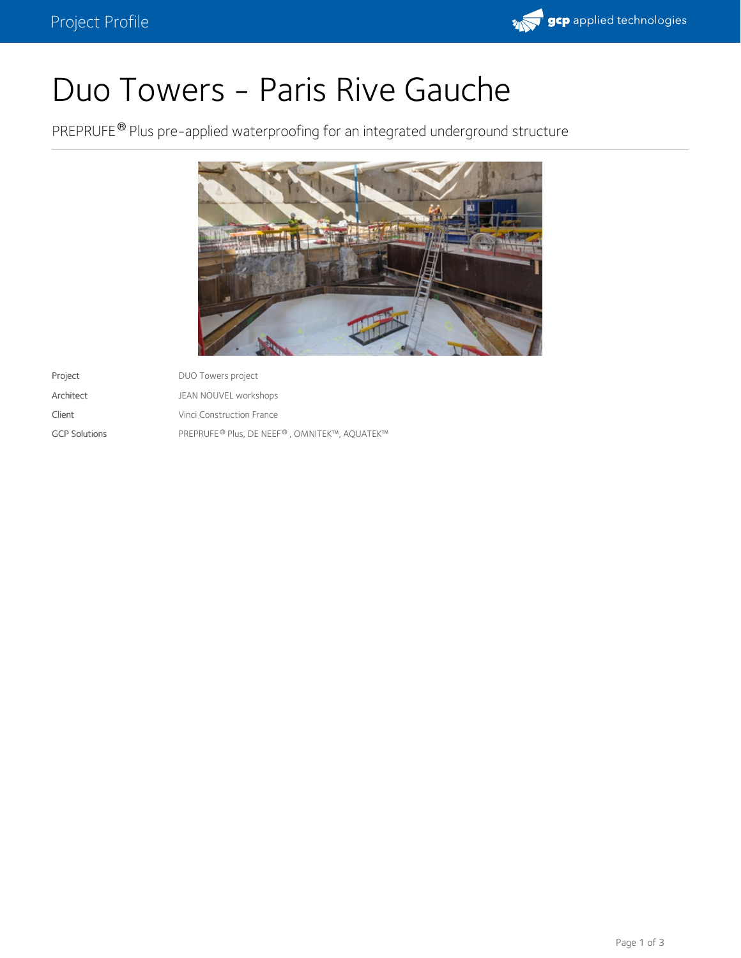

# Duo Towers - Paris Rive Gauche

PREPRUFE<sup>®</sup> Plus pre-applied waterproofing for an integrated underground structure



| Project              | DUO Towers project                           |
|----------------------|----------------------------------------------|
| Architect            | JEAN NOUVEL workshops                        |
| Client               | Vinci Construction France                    |
| <b>GCP Solutions</b> | PREPRUFE® Plus, DE NEEF®, OMNITEK™, AQUATEK™ |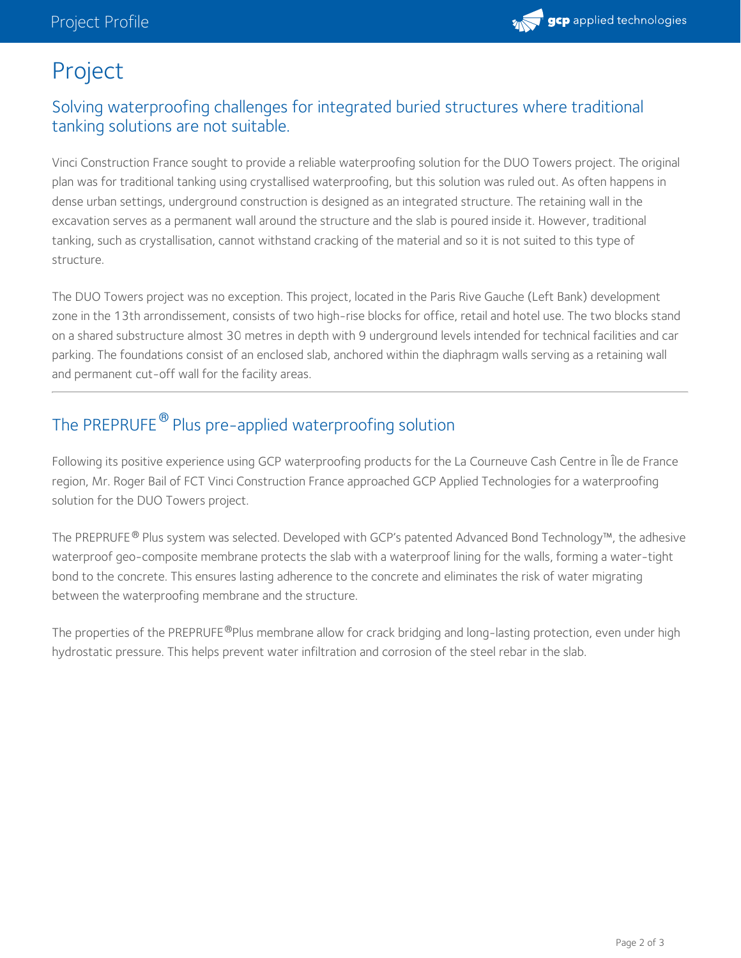

# Project

## Solving waterproofing challenges for integrated buried structures where traditional tanking solutions are not suitable.

Vinci Construction France sought to provide a reliable waterproofing solution for the DUO Towers project. The original plan was for traditional tanking using crystallised waterproofing, but this solution was ruled out. As often happens in dense urban settings, underground construction is designed as an integrated structure. The retaining wall in the excavation serves as a permanent wall around the structure and the slab is poured inside it. However, traditional tanking, such as crystallisation, cannot withstand cracking of the material and so it is not suited to this type of structure.

The DUO Towers project was no exception. This project, located in the Paris Rive Gauche (Left Bank) development zone in the 13th arrondissement, consists of two high-rise blocks for office, retail and hotel use. The two blocks stand on a shared substructure almost 30 metres in depth with 9 underground levels intended for technical facilities and car parking. The foundations consist of an enclosed slab, anchored within the diaphragm walls serving as a retaining wall and permanent cut-off wall for the facility areas.

# The PREPRUFE  $^\circledR$  Plus pre-applied waterproofing solution

Following its positive experience using GCP waterproofing products for the La Courneuve Cash Centre in Île de France region, Mr. Roger Bail of FCT Vinci Construction France approached GCP Applied Technologies for a waterproofing solution for the DUO Towers project.

The PREPRUFE® Plus system was selected. Developed with GCP's patented Advanced Bond Technology™, the adhesive waterproof geo-composite membrane protects the slab with a waterproof lining for the walls, forming a water-tight bond to the concrete. This ensures lasting adherence to the concrete and eliminates the risk of water migrating between the waterproofing membrane and the structure.

The properties of the PREPRUFE®Plus membrane allow for crack bridging and long-lasting protection, even under high hydrostatic pressure. This helps prevent water infiltration and corrosion of the steel rebar in the slab.